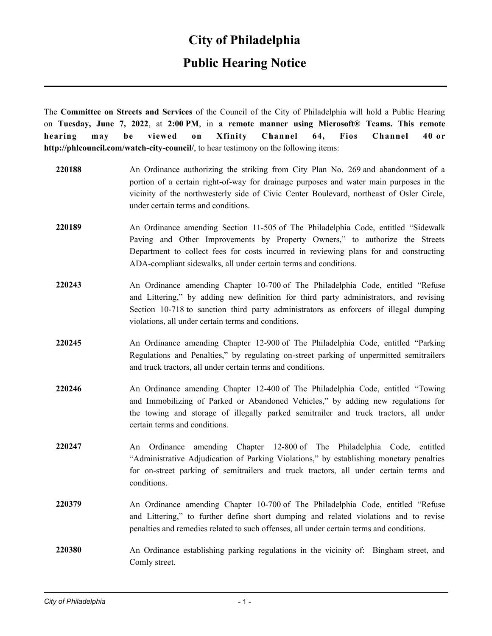#### **Public Hearing Notice**

The **Committee on Streets and Services** of the Council of the City of Philadelphia will hold a Public Hearing on **Tuesday, June 7, 2022**, at **2:00 PM**, in **a remote manner using Microsoft® Teams. This remote hearing may be viewed on Xfinity Channel 64, Fios Channel 40 or http://phlcouncil.com/watch-city-council/**, to hear testimony on the following items:

| 220188 | An Ordinance authorizing the striking from City Plan No. 269 and abandonment of a<br>portion of a certain right-of-way for drainage purposes and water main purposes in the<br>vicinity of the northwesterly side of Civic Center Boulevard, northeast of Osler Circle,<br>under certain terms and conditions.                |
|--------|-------------------------------------------------------------------------------------------------------------------------------------------------------------------------------------------------------------------------------------------------------------------------------------------------------------------------------|
| 220189 | An Ordinance amending Section 11-505 of The Philadelphia Code, entitled "Sidewalk<br>Paving and Other Improvements by Property Owners," to authorize the Streets<br>Department to collect fees for costs incurred in reviewing plans for and constructing<br>ADA-compliant sidewalks, all under certain terms and conditions. |
| 220243 | An Ordinance amending Chapter 10-700 of The Philadelphia Code, entitled "Refuse<br>and Littering," by adding new definition for third party administrators, and revising<br>Section 10-718 to sanction third party administrators as enforcers of illegal dumping<br>violations, all under certain terms and conditions.      |
| 220245 | An Ordinance amending Chapter 12-900 of The Philadelphia Code, entitled "Parking<br>Regulations and Penalties," by regulating on-street parking of unpermitted semitrailers<br>and truck tractors, all under certain terms and conditions.                                                                                    |
| 220246 | An Ordinance amending Chapter 12-400 of The Philadelphia Code, entitled "Towing<br>and Immobilizing of Parked or Abandoned Vehicles," by adding new regulations for<br>the towing and storage of illegally parked semitrailer and truck tractors, all under<br>certain terms and conditions.                                  |
| 220247 | An Ordinance amending Chapter 12-800 of The Philadelphia Code,<br>entitled<br>"Administrative Adjudication of Parking Violations," by establishing monetary penalties<br>for on-street parking of semitrailers and truck tractors, all under certain terms and<br>conditions.                                                 |
| 220379 | An Ordinance amending Chapter 10-700 of The Philadelphia Code, entitled "Refuse<br>and Littering," to further define short dumping and related violations and to revise<br>penalties and remedies related to such offenses, all under certain terms and conditions.                                                           |
| 220380 | An Ordinance establishing parking regulations in the vicinity of: Bingham street, and<br>Comly street.                                                                                                                                                                                                                        |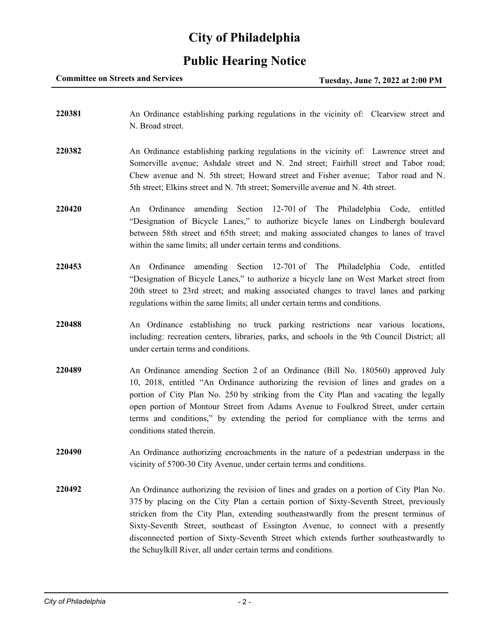#### **Public Hearing Notice**

**Committee on Streets and Services Tuesday, June 7, 2022 at 2:00 PM** 

**220381** An Ordinance establishing parking regulations in the vicinity of: Clearview street and N. Broad street. **220382** An Ordinance establishing parking regulations in the vicinity of: Lawrence street and Somerville avenue; Ashdale street and N. 2nd street; Fairhill street and Tabor road; Chew avenue and N. 5th street; Howard street and Fisher avenue; Tabor road and N. 5th street; Elkins street and N. 7th street; Somerville avenue and N. 4th street. **220420** An Ordinance amending Section 12-701 of The Philadelphia Code, entitled "Designation of Bicycle Lanes," to authorize bicycle lanes on Lindbergh boulevard between 58th street and 65th street; and making associated changes to lanes of travel within the same limits; all under certain terms and conditions. **220453** An Ordinance amending Section 12-701 of The Philadelphia Code, entitled "Designation of Bicycle Lanes," to authorize a bicycle lane on West Market street from 20th street to 23rd street; and making associated changes to travel lanes and parking regulations within the same limits; all under certain terms and conditions. **220488** An Ordinance establishing no truck parking restrictions near various locations, including: recreation centers, libraries, parks, and schools in the 9th Council District; all under certain terms and conditions. **220489** An Ordinance amending Section 2 of an Ordinance (Bill No. 180560) approved July 10, 2018, entitled "An Ordinance authorizing the revision of lines and grades on a portion of City Plan No. 250 by striking from the City Plan and vacating the legally open portion of Montour Street from Adams Avenue to Foulkrod Street, under certain terms and conditions," by extending the period for compliance with the terms and conditions stated therein. **220490** An Ordinance authorizing encroachments in the nature of a pedestrian underpass in the vicinity of 5700-30 City Avenue, under certain terms and conditions. **220492** An Ordinance authorizing the revision of lines and grades on a portion of City Plan No. 375 by placing on the City Plan a certain portion of Sixty-Seventh Street, previously stricken from the City Plan, extending southeastwardly from the present terminus of Sixty-Seventh Street, southeast of Essington Avenue, to connect with a presently disconnected portion of Sixty-Seventh Street which extends further southeastwardly to the Schuylkill River, all under certain terms and conditions.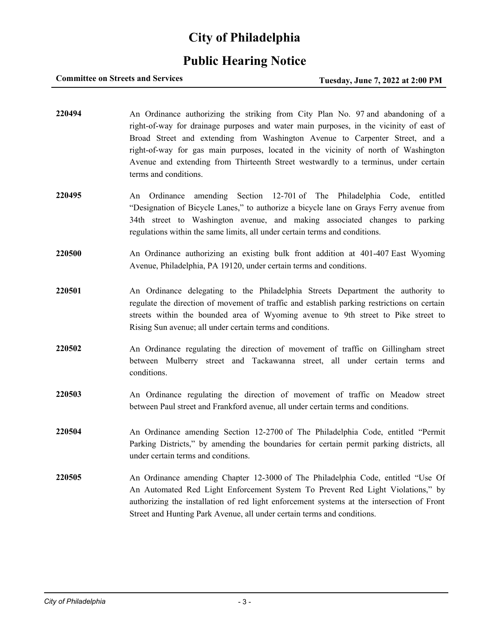## **Public Hearing Notice**

#### **Committee on Streets and Services Tuesday, June 7, 2022 at 2:00 PM**

- **220494** An Ordinance authorizing the striking from City Plan No. 97 and abandoning of a right-of-way for drainage purposes and water main purposes, in the vicinity of east of Broad Street and extending from Washington Avenue to Carpenter Street, and a right-of-way for gas main purposes, located in the vicinity of north of Washington Avenue and extending from Thirteenth Street westwardly to a terminus, under certain terms and conditions.
- **220495** An Ordinance amending Section 12-701 of The Philadelphia Code, entitled "Designation of Bicycle Lanes," to authorize a bicycle lane on Grays Ferry avenue from 34th street to Washington avenue, and making associated changes to parking regulations within the same limits, all under certain terms and conditions.
- **220500** An Ordinance authorizing an existing bulk front addition at 401-407 East Wyoming Avenue, Philadelphia, PA 19120, under certain terms and conditions.
- **220501** An Ordinance delegating to the Philadelphia Streets Department the authority to regulate the direction of movement of traffic and establish parking restrictions on certain streets within the bounded area of Wyoming avenue to 9th street to Pike street to Rising Sun avenue; all under certain terms and conditions.
- **220502** An Ordinance regulating the direction of movement of traffic on Gillingham street between Mulberry street and Tackawanna street, all under certain terms and conditions.
- **220503** An Ordinance regulating the direction of movement of traffic on Meadow street between Paul street and Frankford avenue, all under certain terms and conditions.
- **220504** An Ordinance amending Section 12-2700 of The Philadelphia Code, entitled "Permit Parking Districts," by amending the boundaries for certain permit parking districts, all under certain terms and conditions.
- **220505** An Ordinance amending Chapter 12-3000 of The Philadelphia Code, entitled "Use Of An Automated Red Light Enforcement System To Prevent Red Light Violations," by authorizing the installation of red light enforcement systems at the intersection of Front Street and Hunting Park Avenue, all under certain terms and conditions.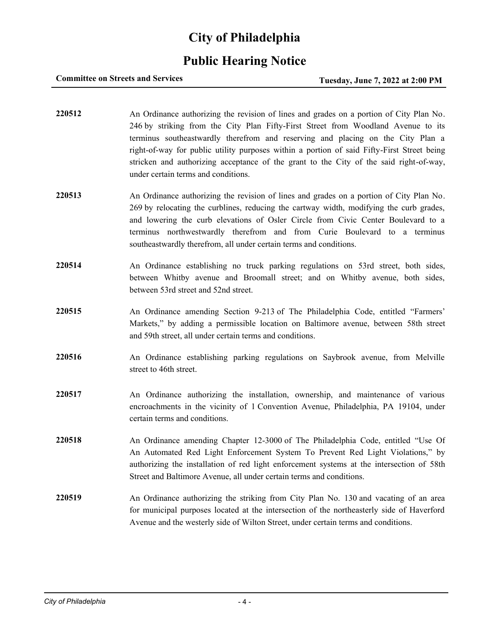## **Public Hearing Notice**

#### **Committee on Streets and Services Tuesday, June 7, 2022 at 2:00 PM**

- **220512** An Ordinance authorizing the revision of lines and grades on a portion of City Plan No. 246 by striking from the City Plan Fifty-First Street from Woodland Avenue to its terminus southeastwardly therefrom and reserving and placing on the City Plan a right-of-way for public utility purposes within a portion of said Fifty-First Street being stricken and authorizing acceptance of the grant to the City of the said right-of-way, under certain terms and conditions.
- **220513** An Ordinance authorizing the revision of lines and grades on a portion of City Plan No. 269 by relocating the curblines, reducing the cartway width, modifying the curb grades, and lowering the curb elevations of Osler Circle from Civic Center Boulevard to a terminus northwestwardly therefrom and from Curie Boulevard to a terminus southeastwardly therefrom, all under certain terms and conditions.
- **220514** An Ordinance establishing no truck parking regulations on 53rd street, both sides, between Whitby avenue and Broomall street; and on Whitby avenue, both sides, between 53rd street and 52nd street.
- **220515** An Ordinance amending Section 9-213 of The Philadelphia Code, entitled "Farmers' Markets," by adding a permissible location on Baltimore avenue, between 58th street and 59th street, all under certain terms and conditions.
- **220516** An Ordinance establishing parking regulations on Saybrook avenue, from Melville street to 46th street.
- **220517** An Ordinance authorizing the installation, ownership, and maintenance of various encroachments in the vicinity of 1 Convention Avenue, Philadelphia, PA 19104, under certain terms and conditions.
- **220518** An Ordinance amending Chapter 12-3000 of The Philadelphia Code, entitled "Use Of An Automated Red Light Enforcement System To Prevent Red Light Violations," by authorizing the installation of red light enforcement systems at the intersection of 58th Street and Baltimore Avenue, all under certain terms and conditions.
- **220519** An Ordinance authorizing the striking from City Plan No. 130 and vacating of an area for municipal purposes located at the intersection of the northeasterly side of Haverford Avenue and the westerly side of Wilton Street, under certain terms and conditions.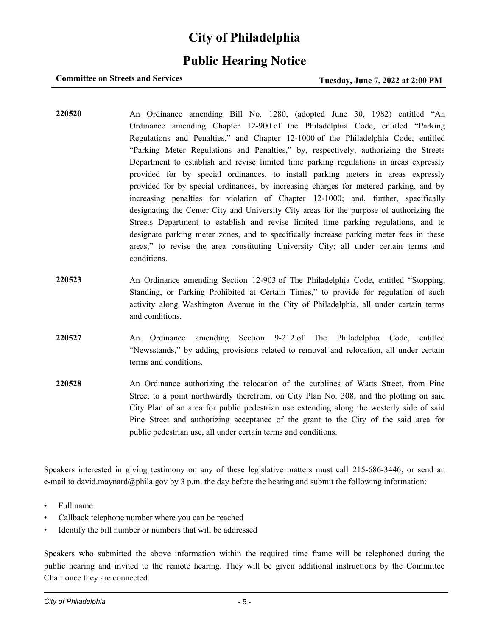## **Public Hearing Notice**

#### **Committee on Streets and Services Tuesday, June 7, 2022 at 2:00 PM**

- **220520** An Ordinance amending Bill No. 1280, (adopted June 30, 1982) entitled "An Ordinance amending Chapter 12-900 of the Philadelphia Code, entitled "Parking Regulations and Penalties," and Chapter 12-1000 of the Philadelphia Code, entitled "Parking Meter Regulations and Penalties," by, respectively, authorizing the Streets Department to establish and revise limited time parking regulations in areas expressly provided for by special ordinances, to install parking meters in areas expressly provided for by special ordinances, by increasing charges for metered parking, and by increasing penalties for violation of Chapter 12-1000; and, further, specifically designating the Center City and University City areas for the purpose of authorizing the Streets Department to establish and revise limited time parking regulations, and to designate parking meter zones, and to specifically increase parking meter fees in these areas," to revise the area constituting University City; all under certain terms and conditions.
- **220523** An Ordinance amending Section 12-903 of The Philadelphia Code, entitled "Stopping, Standing, or Parking Prohibited at Certain Times," to provide for regulation of such activity along Washington Avenue in the City of Philadelphia, all under certain terms and conditions.
- **220527** An Ordinance amending Section 9-212 of The Philadelphia Code, entitled "Newsstands," by adding provisions related to removal and relocation, all under certain terms and conditions.
- **220528** An Ordinance authorizing the relocation of the curblines of Watts Street, from Pine Street to a point northwardly therefrom, on City Plan No. 308, and the plotting on said City Plan of an area for public pedestrian use extending along the westerly side of said Pine Street and authorizing acceptance of the grant to the City of the said area for public pedestrian use, all under certain terms and conditions.

Speakers interested in giving testimony on any of these legislative matters must call 215-686-3446, or send an e-mail to david.maynard@phila.gov by 3 p.m. the day before the hearing and submit the following information:

- Full name
- Callback telephone number where you can be reached
- Identify the bill number or numbers that will be addressed

Speakers who submitted the above information within the required time frame will be telephoned during the public hearing and invited to the remote hearing. They will be given additional instructions by the Committee Chair once they are connected.